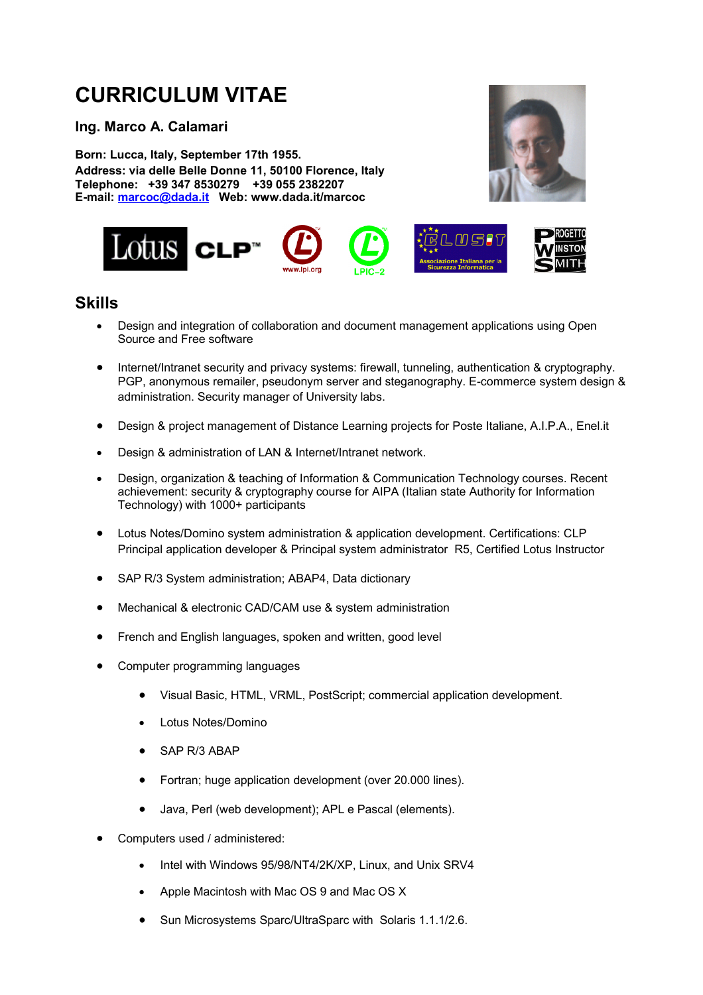# **CURRICULUM VITAE**

**Ing. Marco A. Calamari**

**Born: Lucca, Italy, September 17th 1955. Address: via delle Belle Donne 11, 50100 Florence, Italy Telephone: +39 347 8530279 +39 055 2382207 E-mail: marcoc@dada.it Web: www.dada.it/marcoc**





#### **Skills**

- · Design and integration of collaboration and document management applications using Open Source and Free software
- Internet/Intranet security and privacy systems: firewall, tunneling, authentication & cryptography. PGP, anonymous remailer, pseudonym server and steganography. E-commerce system design & administration. Security manager of University labs.
- · Design & project management of Distance Learning projects for Poste Italiane, A.I.P.A., Enel.it
- Design & administration of LAN & Internet/Intranet network.
- · Design, organization & teaching of Information & Communication Technology courses. Recent achievement: security & cryptography course for AIPA (Italian state Authority for Information Technology) with 1000+ participants
- · Lotus Notes/Domino system administration & application development. Certifications: CLP Principal application developer & Principal system administrator R5, Certified Lotus Instructor
- SAP R/3 System administration; ABAP4, Data dictionary
- Mechanical & electronic CAD/CAM use & system administration
- French and English languages, spoken and written, good level
- Computer programming languages
	- · Visual Basic, HTML, VRML, PostScript; commercial application development.
	- Lotus Notes/Domino
	- SAP R/3 ABAP
	- · Fortran; huge application development (over 20.000 lines).
	- · Java, Perl (web development); APL e Pascal (elements).
- Computers used / administered:
	- Intel with Windows 95/98/NT4/2K/XP, Linux, and Unix SRV4
	- Apple Macintosh with Mac OS 9 and Mac OS X
	- · Sun Microsystems Sparc/UltraSparc with Solaris 1.1.1/2.6.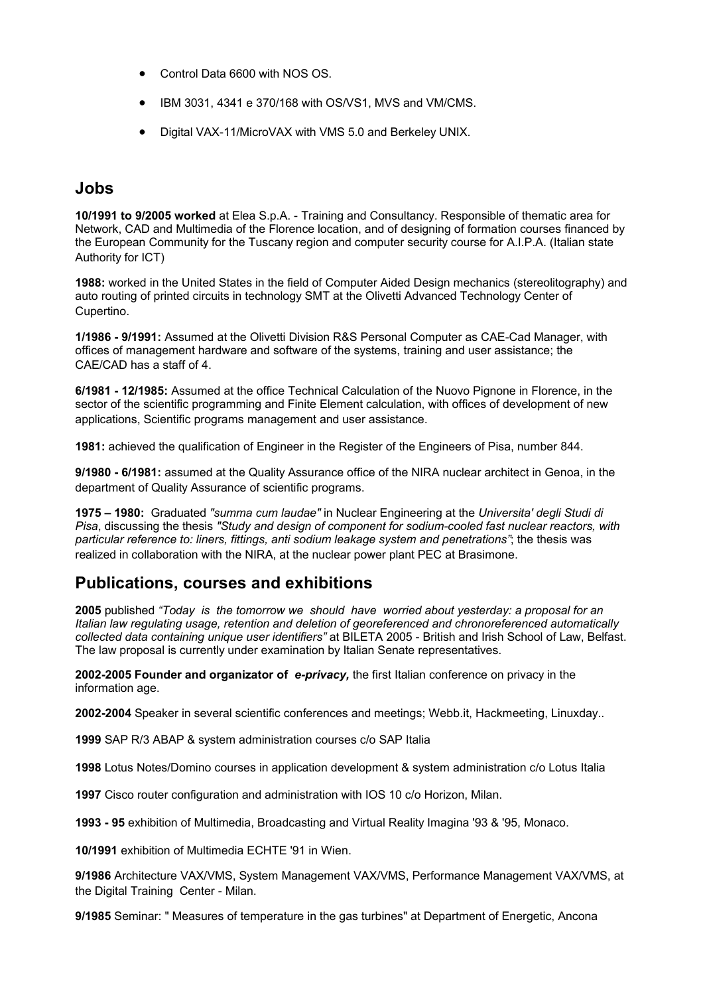- · Control Data 6600 with NOS OS.
- · IBM 3031, 4341 e 370/168 with OS/VS1, MVS and VM/CMS.
- · Digital VAX-11/MicroVAX with VMS 5.0 and Berkeley UNIX.

### **Jobs**

**10/1991 to 9/2005 worked** at Elea S.p.A. - Training and Consultancy. Responsible of thematic area for Network, CAD and Multimedia of the Florence location, and of designing of formation courses financed by the European Community for the Tuscany region and computer security course for A.I.P.A. (Italian state Authority for ICT)

**1988:** worked in the United States in the field of Computer Aided Design mechanics (stereolitography) and auto routing of printed circuits in technology SMT at the Olivetti Advanced Technology Center of Cupertino.

**1/1986 - 9/1991:** Assumed at the Olivetti Division R&S Personal Computer as CAE-Cad Manager, with offices of management hardware and software of the systems, training and user assistance; the CAE/CAD has a staff of 4.

**6/1981 - 12/1985:** Assumed at the office Technical Calculation of the Nuovo Pignone in Florence, in the sector of the scientific programming and Finite Element calculation, with offices of development of new applications, Scientific programs management and user assistance.

**1981:** achieved the qualification of Engineer in the Register of the Engineers of Pisa, number 844.

**9/1980 - 6/1981:** assumed at the Quality Assurance office of the NIRA nuclear architect in Genoa, in the department of Quality Assurance of scientific programs.

**1975 – 1980:** Graduated *"summa cum laudae"* in Nuclear Engineering at the *Universita' degli Studi di Pisa*, discussing the thesis *"Study and design of component for sodium-cooled fast nuclear reactors, with particular reference to: liners, fittings, anti sodium leakage system and penetrations"*; the thesis was realized in collaboration with the NIRA, at the nuclear power plant PEC at Brasimone.

#### **Publications, courses and exhibitions**

**2005** published *"Today is the tomorrow we should have worried about yesterday: a proposal for an Italian law regulating usage, retention and deletion of georeferenced and chronoreferenced automatically collected data containing unique user identifiers"* at BILETA 2005 - British and Irish School of Law, Belfast. The law proposal is currently under examination by Italian Senate representatives.

**2002-2005 Founder and organizator of** *e-privacy,* the first Italian conference on privacy in the information age.

**2002-2004** Speaker in several scientific conferences and meetings; Webb.it, Hackmeeting, Linuxday..

**1999** SAP R/3 ABAP & system administration courses c/o SAP Italia

**1998** Lotus Notes/Domino courses in application development & system administration c/o Lotus Italia

**1997** Cisco router configuration and administration with IOS 10 c/o Horizon, Milan.

**1993 - 95** exhibition of Multimedia, Broadcasting and Virtual Reality Imagina '93 & '95, Monaco.

**10/1991** exhibition of Multimedia ECHTE '91 in Wien.

**9/1986** Architecture VAX/VMS, System Management VAX/VMS, Performance Management VAX/VMS, at the Digital Training Center - Milan.

**9/1985** Seminar: " Measures of temperature in the gas turbines" at Department of Energetic, Ancona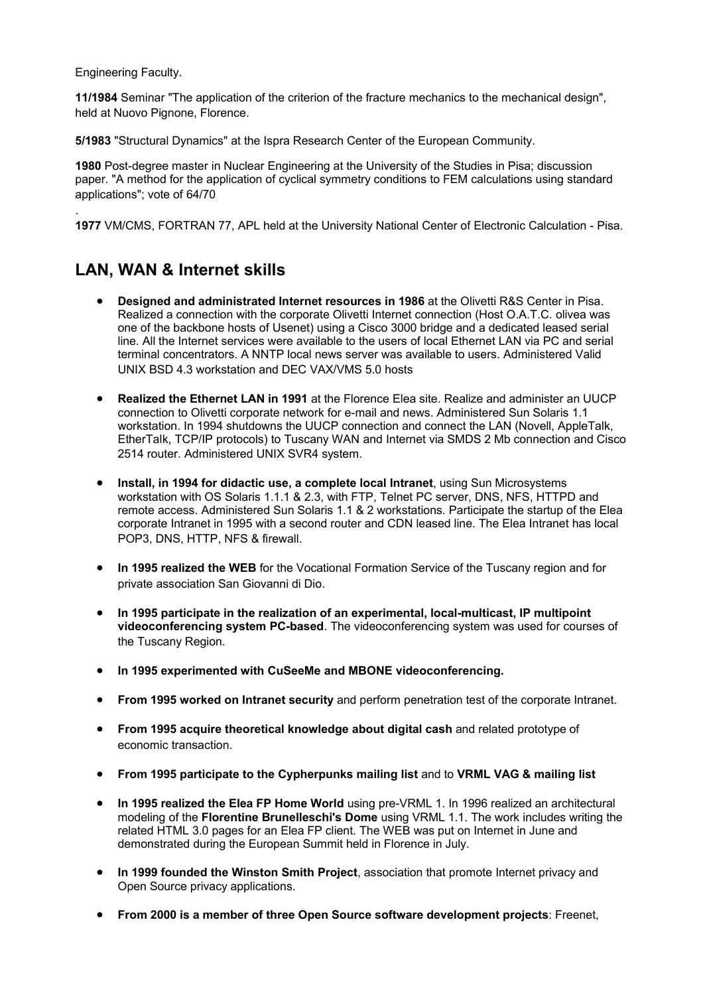Engineering Faculty.

.

**11/1984** Seminar "The application of the criterion of the fracture mechanics to the mechanical design", held at Nuovo Pignone, Florence.

**5/1983** "Structural Dynamics" at the Ispra Research Center of the European Community.

**1980** Post-degree master in Nuclear Engineering at the University of the Studies in Pisa; discussion paper. "A method for the application of cyclical symmetry conditions to FEM calculations using standard applications"; vote of 64/70

**1977** VM/CMS, FORTRAN 77, APL held at the University National Center of Electronic Calculation - Pisa.

# **LAN, WAN & Internet skills**

- · **Designed and administrated Internet resources in 1986** at the Olivetti R&S Center in Pisa. Realized a connection with the corporate Olivetti Internet connection (Host O.A.T.C. olivea was one of the backbone hosts of Usenet) using a Cisco 3000 bridge and a dedicated leased serial line. All the Internet services were available to the users of local Ethernet LAN via PC and serial terminal concentrators. A NNTP local news server was available to users. Administered Valid UNIX BSD 4.3 workstation and DEC VAX/VMS 5.0 hosts
- · **Realized the Ethernet LAN in 1991** at the Florence Elea site. Realize and administer an UUCP connection to Olivetti corporate network for e-mail and news. Administered Sun Solaris 1.1 workstation. In 1994 shutdowns the UUCP connection and connect the LAN (Novell, AppleTalk, EtherTalk, TCP/IP protocols) to Tuscany WAN and Internet via SMDS 2 Mb connection and Cisco 2514 router. Administered UNIX SVR4 system.
- · **Install, in 1994 for didactic use, a complete local Intranet**, using Sun Microsystems workstation with OS Solaris 1.1.1 & 2.3, with FTP, Telnet PC server, DNS, NFS, HTTPD and remote access. Administered Sun Solaris 1.1 & 2 workstations. Participate the startup of the Elea corporate Intranet in 1995 with a second router and CDN leased line. The Elea Intranet has local POP3, DNS, HTTP, NFS & firewall.
- · **In 1995 realized the WEB** for the Vocational Formation Service of the Tuscany region and for private association San Giovanni di Dio.
- · **In 1995 participate in the realization of an experimental, local-multicast, IP multipoint videoconferencing system PC-based**. The videoconferencing system was used for courses of the Tuscany Region.
- · **In 1995 experimented with CuSeeMe and MBONE videoconferencing.**
- · **From 1995 worked on Intranet security** and perform penetration test of the corporate Intranet.
- · **From 1995 acquire theoretical knowledge about digital cash** and related prototype of economic transaction.
- · **From 1995 participate to the Cypherpunks mailing list** and to **VRML VAG & mailing list**
- · **In 1995 realized the Elea FP Home World** using pre-VRML 1. In 1996 realized an architectural modeling of the **Florentine Brunelleschi's Dome** using VRML 1.1. The work includes writing the related HTML 3.0 pages for an Elea FP client. The WEB was put on Internet in June and demonstrated during the European Summit held in Florence in July.
- · **In 1999 founded the Winston Smith Project**, association that promote Internet privacy and Open Source privacy applications.
- · **From 2000 is a member of three Open Source software development projects**: Freenet,